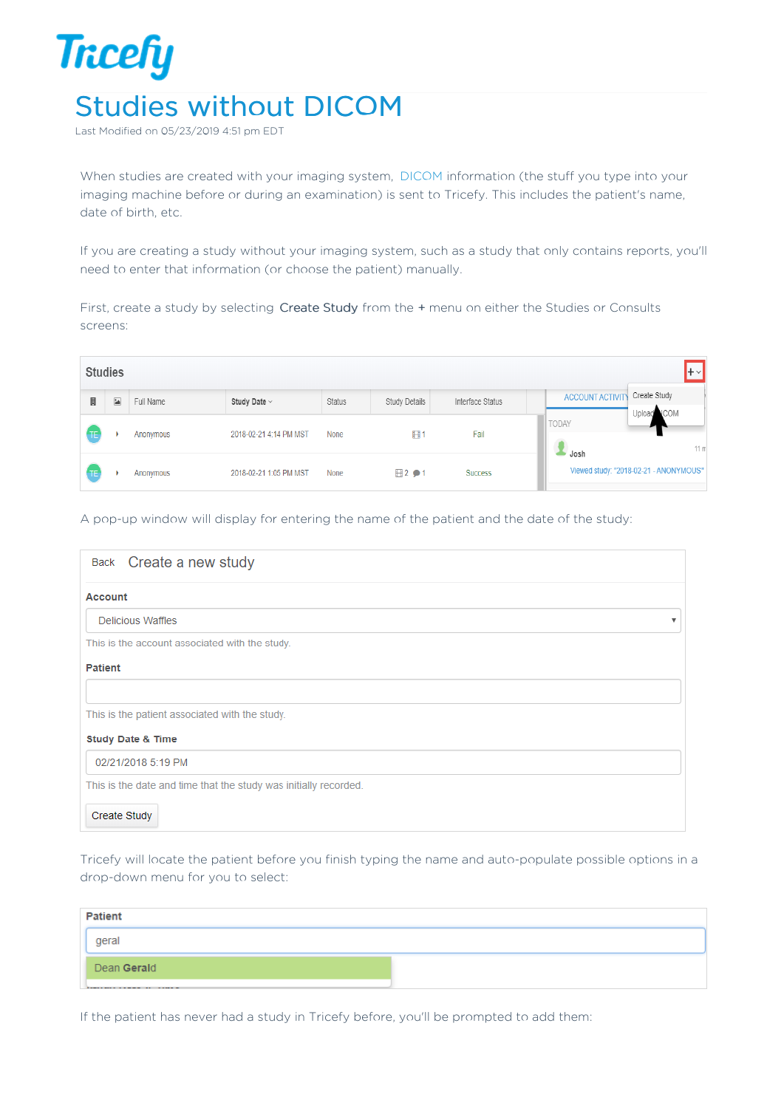

Last Modified on 05/23/2019 4:51 pm EDT

When studies are created with your imaging system, DICOM information (the stuff you type into your imaging machine before or during an examination) is sent to Tricefy. This includes the patient's name, date of birth, etc.

If you are creating a study without your imaging system, such as a study that only contains reports, you'll need to enter that information (or choose the patient) manually.

First, create a study by selecting Create Study from the + menu on either the Studies or Consults screens:

|   | <b>Studies</b><br>$+$ $\vee$ |           |                        |               |               |                  |                                                                  |  |  |  |  |
|---|------------------------------|-----------|------------------------|---------------|---------------|------------------|------------------------------------------------------------------|--|--|--|--|
| 員 | $\overline{\blacksquare}$    | Full Name | Study Date ~           | <b>Status</b> | Study Details | Interface Status | Create Study<br><b>ACCOUNT ACTIVITY</b><br><b>ICOM</b><br>Upload |  |  |  |  |
|   |                              | Anonymous | 2018-02-21 4:14 PM MST | None          | 田.            | Fail             | <b>TODAY</b><br>٦<br>11 <sub>π</sub>                             |  |  |  |  |
|   |                              | Anonymous | 2018-02-21 1:05 PM MST | None          | $H2 \cdot 1$  | <b>Success</b>   | Josh<br>Viewed study: "2018-02-21 - ANONYMOUS"                   |  |  |  |  |

A pop-up window will display for entering the name of the patient and the date of the study:

| Back Create a new study                                          |
|------------------------------------------------------------------|
| <b>Account</b>                                                   |
| <b>Delicious Waffles</b>                                         |
| This is the account associated with the study.                   |
| <b>Patient</b>                                                   |
|                                                                  |
| This is the patient associated with the study.                   |
| <b>Study Date &amp; Time</b>                                     |
| 02/21/2018 5:19 PM                                               |
| This is the date and time that the study was initially recorded. |
| Create Study                                                     |

Tricefy will locate the patient before you finish typing the name and auto-populate possible options in a drop-down menu for you to select:

| <b>Patient</b> |                                                         |  |  |  |  |  |
|----------------|---------------------------------------------------------|--|--|--|--|--|
|                | geral                                                   |  |  |  |  |  |
|                | Dean Gerald                                             |  |  |  |  |  |
|                | <b><i><u>Annex Press Announce Area Announce</u></i></b> |  |  |  |  |  |

If the patient has never had a study in Tricefy before, you'll be prompted to add them: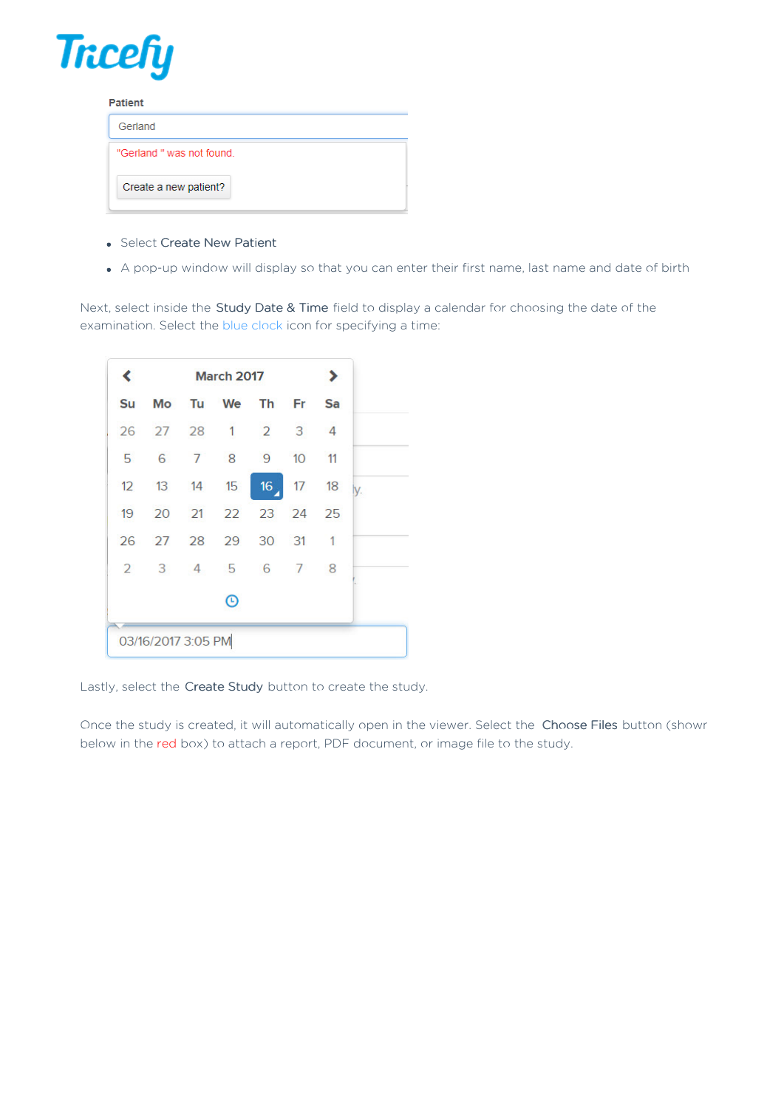

| <b>Patient</b>            |  |  |  |  |  |  |
|---------------------------|--|--|--|--|--|--|
| Gerland                   |  |  |  |  |  |  |
| "Gerland " was not found. |  |  |  |  |  |  |
| Create a new patient?     |  |  |  |  |  |  |

- Select Create New Patient
- A pop-up window will display so that you can enter their first name, last name and date of birth

Next, select inside the Study Date & Time field to display a calendar for choosing the date of the examination. Select the blue clock icon for specifying a time:

| ≺  |                    | <b>March 2017</b>    |  |  |  |     |
|----|--------------------|----------------------|--|--|--|-----|
| Su |                    | Mo Tu We Th Fr Sa    |  |  |  |     |
|    |                    | 26 27 28 1 2 3 4     |  |  |  |     |
|    |                    | 5 6 7 8 9 10 11      |  |  |  |     |
|    |                    | 12 13 14 15 16 17 18 |  |  |  | ly. |
| 19 |                    | 20 21 22 23 24 25    |  |  |  |     |
|    |                    | 26 27 28 29 30 31 1  |  |  |  |     |
|    |                    | 2 3 4 5 6 7 8        |  |  |  |     |
|    |                    | $^\copyright$        |  |  |  |     |
|    | 03/16/2017 3:05 PM |                      |  |  |  |     |

Lastly, select the Create Study button to create the study.

Once the study is created, it will automatically open in the viewer. Select the Choose Files button (shown below in the red box) to attach a report, PDF document, or image file to the study.